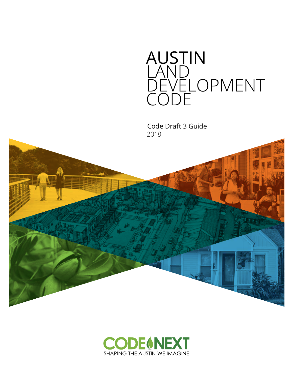

Code Draft 3 Guide 2018



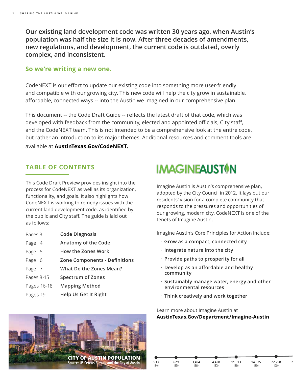**Our existing land development code was written 30 years ago, when Austin's population was half the size it is now. After three decades of amendments, new regulations, and development, the current code is outdated, overly complex, and inconsistent.**

### **So we're writing a new one.**

CodeNEXT is our effort to update our existing code into something more user-friendly and compatible with our growing city. This new code will help the city grow in sustainable, affordable, connected ways -- into the Austin we imagined in our comprehensive plan.

This document -- the Code Draft Guide -- reflects the latest draft of that code, which was developed with feedback from the community, elected and appointed officials, City staff, and the CodeNEXT team. This is not intended to be a comprehensive look at the entire code, but rather an introduction to its major themes. Additional resources and comment tools are available at **AustinTexas.Gov/CodeNEXT.**

### **TABLE OF CONTENTS**

This Code Draft Preview provides insight into the process for CodeNEXT as well as its organization, functionality, and goals. It also highlights how CodeNEXT is working to remedy issues with the current land development code, as identified by the public and City staff. The guide is laid out as follows:

- **Code Diagnosis** Pages 3
- **Anatomy of the Code** Page 4
- **How the Zones Work** Page 5
- **Zone Components - Definitions** Page 6
- **What Do the Zones Mean?**  Page 7
- **Spectrum of Zones** Pages 8-15
- **Mapping Method** Pages 16-18
- **Help Us Get It Right** Pages 19

# **IMAGINEAUST<sup>O</sup>N**

Imagine Austin is Austin's comprehensive plan, adopted by the City Council in 2012. It lays out our residents' vision for a complete community that responds to the pressures and opportunities of our growing, modern city. CodeNEXT is one of the tenets of Imagine Austin.

Imagine Austin's Core Principles for Action include:

- **· Grow as a compact, connected city**
- **· Integrate nature into the city**
- **· Provide paths to prosperity for all**
- **· Develop as an affordable and healthy community**
- **· Sustainably manage water, energy and other environmental resources**
- **· Think creatively and work together**

1840

**629** 1850 **3,494** 1860

Learn more about Imagine Austin at **AustinTexas.Gov/Department/Imagine-Austin**

> **4,428** 1870

**11,013** 1880

**14,575** 1890

**22,258** 1900

**29,860**

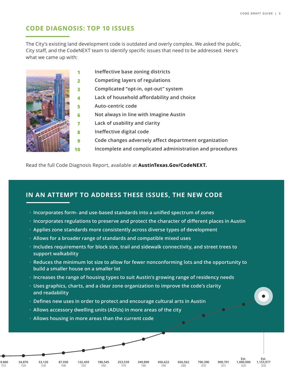## **CODE DIAGNOSIS: TOP 10 ISSUES**

The City's existing land development code is outdated and overly complex. We asked the public, City staff, and the CodeNEXT team to identify specific issues that need to be addressed. Here's what we came up with:



- **Ineffective base zoning districts**
- **Competing layers of regulations**
- **Complicated "opt-in, opt-out" system**
- **Lack of household affordability and choice**
- **Auto-centric code**
- **Not always in line with Imagine Austin**
- **Lack of usability and clarity**
- **Ineffective digital code**
	- **Code changes adversely affect department organization**
	- **Incomplete and complicated administration and procedures**

Read the full Code Diagnosis Report, available at **AustinTexas.Gov/CodeNEXT.**

### **IN AN ATTEMPT TO ADDRESS THESE ISSUES, THE NEW CODE**

- **· Incorporates form- and use-based standards into a unified spectrum of zones**
- **· Incorporates regulations to preserve and protect the character of different places in Austin**
- **· Applies zone standards more consistently across diverse types of development**
- **· Allows for a broader range of standards and compatible mixed uses**
- **· Includes requirements for block size, trail and sidewalk connectivity, and street trees to support walkability**
- **· Reduces the minimum lot size to allow for fewer nonconforming lots and the opportunity to build a smaller house on a smaller lot**
- **· Increases the range of housing types to suit Austin's growing range of residency needs**
- **· Uses graphics, charts, and a clear zone organization to improve the code's clarity and readability**
- **· Defines new uses in order to protect and encourage cultural arts in Austin**
- **· Allows accessory dwelling units (ADUs) in more areas of the city**
- **· Allows housing in more areas than the current code**

**132,459** 1950

**29,860** 1910

**34,876** 1920

**87,930** 1940

**53,120** 1930

**186,545** 1960

**253,539** 1970

**349,890** 1980

**456,622** 1990 **656,562** 2000

**790,390** 2010

**900,701** 2015

**Est. 1,000,000** 2020

**Est. 1,153,977** 2030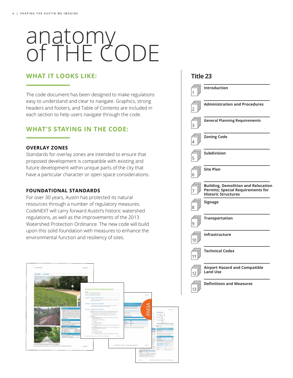# anatomy of THE CODE

### **WHAT IT LOOKS LIKE:**

The code document has been designed to make regulations easy to understand and clear to navigate. Graphics, strong headers and footers, and Table of Contents are included in each section to help users navigate through the code.

### **WHAT'S STAYING IN THE CODE:**

#### **OVERLAY ZONES**

Standards for overlay zones are intended to ensure that proposed development is compatible with existing and future development within unique parts of the city that have a particular character or open space considerations.

#### **FOUNDATIONAL STANDARDS**

For over 30 years, Austin has protected its natural resources through a number of regulatory measures. CodeNEXT will carry forward Austin's historic watershed regulations, as well as the improvements of the 2013 Watershed Protection Ordinance. The new code will build upon this solid foundation with measures to enhance the environmental function and resiliency of sites.



| 1  | <b>Introduction</b>                                                                                                  |
|----|----------------------------------------------------------------------------------------------------------------------|
|    | <b>Administration and Procedures</b>                                                                                 |
|    | <b>General Planning Requirements</b>                                                                                 |
|    | <b>Zoning Code</b>                                                                                                   |
|    | Subdivision                                                                                                          |
| 6  | <b>Site Plan</b>                                                                                                     |
|    | <b>Building, Demolition and Relocation</b><br><b>Permits; Special Requirements for</b><br><b>Historic Structures</b> |
| 8  | <b>Signage</b>                                                                                                       |
| 9  | <b>Transportation</b>                                                                                                |
| 10 | Infrastructure                                                                                                       |
| 11 | <b>Technical Codes</b>                                                                                               |
| 12 | <b>Airport Hazard and Compatible</b><br><b>Land Use</b>                                                              |
| 13 | <b>Definitions and Measures</b>                                                                                      |

**Title 23**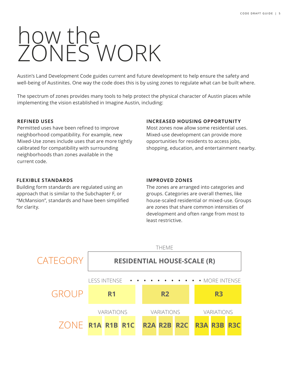# how the ZONES WORK

Austin's Land Development Code guides current and future development to help ensure the safety and well-being of Austinites. One way the code does this is by using zones to regulate what can be built where.

The spectrum of zones provides many tools to help protect the physical character of Austin places while implementing the vision established in Imagine Austin, including:

### **REFINED USES**

Permitted uses have been refined to improve neighborhood compatibility. For example, new Mixed-Use zones include uses that are more tightly calibrated for compatibility with surrounding neighborhoods than zones available in the current code.

### **FLEXIBLE STANDARDS**

Building form standards are regulated using an approach that is similar to the Subchapter F, or "McMansion", standards and have been simplified for clarity.

### **INCREASED HOUSING OPPORTUNITY**

Most zones now allow some residential uses. Mixed-use development can provide more opportunities for residents to access jobs, shopping, education, and entertainment nearby.

### **IMPROVED ZONES**

The zones are arranged into categories and groups. Categories are overall themes, like house-scaled residential or mixed-use. Groups are zones that share common intensities of development and often range from most to least restrictive.

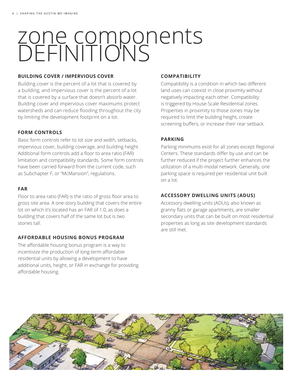# zone components DEFINITIONS

#### **BUILDING COVER / IMPERVIOUS COVER**

Building cover is the percent of a lot that is covered by a building, and impervious cover is the percent of a lot that is covered by a surface that doesn't absorb water. Building cover and impervious cover maximums protect watersheds and can reduce flooding throughout the city by limiting the development footprint on a lot.

### **FORM CONTROLS**

Basic form controls refer to lot size and width, setbacks, impervious cover, building coverage, and building height. Additional form controls add a floor to area ratio (FAR) limitation and compatibility standards. Some form controls have been carried forward from the current code, such as Subchapter F, or "McMansion", regulations.

#### **FAR**

Floor to area ratio (FAR) is the ratio of gross floor area to gross site area. A one-story building that covers the entire lot on which it's located has an FAR of 1.0, as does a building that covers half of the same lot but is two stories tall.

### **AFFORDABLE HOUSING BONUS PROGRAM**

The affordable housing bonus program is a way to incentivize the production of long-term affordable residential units by allowing a development to have additional units, height, or FAR in exchange for providing affordable housing.

#### **COMPATIBILITY**

Compatibility is a condition in which two different land uses can coexist in close proximity without negatively impacting each other. Compatibility is triggered by House-Scale Residential zones. Properties in proximity to those zones may be required to limit the building height, create screening buffers, or increase their rear setback.

#### **PARKING**

Parking minimums exist for all zones except Regional Centers. These standards differ by use and can be further reduced if the project further enhances the utilization of a multi-modal network. Generally, one parking space is required per residential unit built on a lot.

### **ACCESSORY DWELLING UNITS (ADUS)**

Accessory dwelling units (ADUs), also known as granny flats or garage apartments, are smaller secondary units that can be built on most residential properties as long as site development standards are still met.

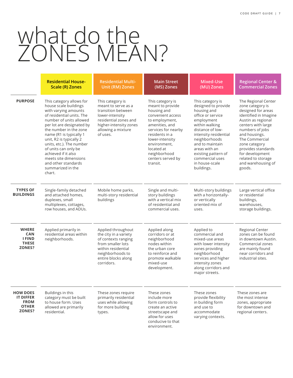# what do the ZONES MEAN?

|                                                                              | <b>Residential House-</b><br><b>Scale (R) Zones</b>                                                                                                                                                                                                                                                                                                                                                      | <b>Residential Multi-</b><br><b>Unit (RM) Zones</b>                                                                                                                    | <b>Main Street</b><br>(MS) Zones                                                                                                                                                                                                                        | Mixed-Use<br>(MU) Zones                                                                                                                                                                                                                                                                 | <b>Regional Center &amp;</b><br><b>Commercial Zones</b>                                                                                                                                                                                                                                                  |
|------------------------------------------------------------------------------|----------------------------------------------------------------------------------------------------------------------------------------------------------------------------------------------------------------------------------------------------------------------------------------------------------------------------------------------------------------------------------------------------------|------------------------------------------------------------------------------------------------------------------------------------------------------------------------|---------------------------------------------------------------------------------------------------------------------------------------------------------------------------------------------------------------------------------------------------------|-----------------------------------------------------------------------------------------------------------------------------------------------------------------------------------------------------------------------------------------------------------------------------------------|----------------------------------------------------------------------------------------------------------------------------------------------------------------------------------------------------------------------------------------------------------------------------------------------------------|
| <b>PURPOSE</b>                                                               | This category allows for<br>house scale buildings<br>with varying amounts<br>of residential units. The<br>number of units allowed<br>per lot are designated by<br>the number in the zone<br>name (R1 is typically 1<br>unit, R2 is typically 2<br>units, etc.). The number<br>of units can only be<br>achieved if it also<br>meets site dimensions<br>and other standards<br>summarized in the<br>chart. | This category is<br>meant to serve as a<br>transition between<br>lower-intensity<br>residential zones and<br>higher-intensity zones<br>allowing a mixture<br>of uses.  | This category is<br>meant to provide<br>housing and<br>convenient access<br>to employment,<br>amenities, and<br>services for nearby<br>residents in a<br>lower-intensity<br>environment.<br>located at<br>neighborhood<br>centers served by<br>transit. | This category is<br>designed to provide<br>housing and<br>office or service<br>employment<br>within walking<br>distance of low-<br>intensity residential<br>neighborhoods<br>and to maintain<br>areas with an<br>existing pattern of<br>commercial uses<br>in house-scale<br>buildings. | The Regional Center<br>zone category is<br>designed for areas<br>identified in Imagine<br>Austin as regional<br>centers with large<br>numbers of jobs<br>and housings.<br>The Commercial<br>zone category<br>provides standards<br>for development<br>related to storage<br>and warehousing of<br>goods. |
| <b>TYPES OF</b><br><b>BUILDINGS</b>                                          | Single-family detached<br>and attached homes,<br>duplexes, small<br>multiplexes, cottages,<br>row houses, and ADUs.                                                                                                                                                                                                                                                                                      | Mobile home parks,<br>multi-story residential<br>buildings                                                                                                             | Single and multi-<br>story buildings<br>with a vertical mix<br>of residential and<br>commercial uses.                                                                                                                                                   | Multi-story buildings<br>with a horizontally-<br>or vertically<br>oriented mix of<br>uses.                                                                                                                                                                                              | Large vertical office<br>or residential<br>buildings,<br>warehouses,<br>storage buildings.                                                                                                                                                                                                               |
| <b>WHERE</b><br><b>CAN</b><br><b>I FIND</b><br><b>THESE</b><br>ZONES?        | Applied primarily in<br>residential areas within<br>neighborhoods.                                                                                                                                                                                                                                                                                                                                       | Applied throughout<br>the city in a variety<br>of contexts ranging<br>from smaller lots<br>within residential<br>neighborhoods to<br>entire blocks along<br>corridors. | Applied along<br>corridors or at<br>neighborhood<br>nodes within<br>the urban core<br>to reinforce and<br>promote walkable<br>mixed-use<br>development.                                                                                                 | Applied to<br>commercial and<br>mixed-use areas<br>with lower intensity<br>zones providing<br>neighborhood<br>services and higher<br>intensity zones<br>along corridors and<br>major streets.                                                                                           | Regional Center<br>zones can be found<br>in downtown Austin.<br>Commercial zones<br>are mainly found<br>near corridors and<br>industrial sites.                                                                                                                                                          |
| <b>HOW DOES</b><br><b>IT DIFFER</b><br><b>FROM</b><br><b>OTHER</b><br>ZONES? | Buildings in this<br>category must be built<br>to house form. Uses<br>allowed are primarily<br>residential.                                                                                                                                                                                                                                                                                              | These zones require<br>primarily residential<br>uses while allowing<br>for more building<br>types.                                                                     | These zones<br>include more<br>form controls to<br>create an active<br>streetscape and<br>allow for uses<br>conducive to that<br>environment.                                                                                                           | These zones<br>provide flexibility<br>in building form<br>and use to<br>accommodate<br>varying contexts.                                                                                                                                                                                | These zones are<br>the most intense<br>zones, appropriate<br>for downtown and<br>regional centers.                                                                                                                                                                                                       |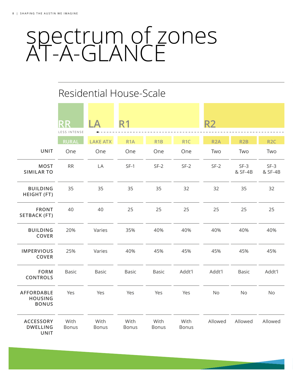# Residential House-Scale

|                                                     | <b>RR</b>     | $\Delta$        | <b>R1</b>        |                  |                      | <b>R2</b>        |                   |                   |
|-----------------------------------------------------|---------------|-----------------|------------------|------------------|----------------------|------------------|-------------------|-------------------|
|                                                     | LESS INTENSE  |                 |                  |                  |                      |                  |                   |                   |
|                                                     | <b>RURAL</b>  | <b>LAKE ATX</b> | R <sub>1</sub> A | R <sub>1</sub> B | R <sub>1C</sub>      | R <sub>2</sub> A | R <sub>2</sub> B  | R <sub>2C</sub>   |
| <b>UNIT</b>                                         | One           | One             | One              | One              | One                  | Two              | Two               | Two               |
| <b>MOST</b><br><b>SIMILAR TO</b>                    | ${\sf RR}$    | LA              | $SF-1$           | $SF-2$           | $SF-2$               | $SF-2$           | $SF-3$<br>& SF-4B | $SF-3$<br>& SF-4B |
| <b>BUILDING</b><br>HEIGHT (FT)                      | 35            | 35              | 35               | 35               | 32                   | 32               | 35                | 32                |
| <b>FRONT</b><br><b>SETBACK (FT)</b>                 | 40            | 40              | 25               | 25               | 25                   | 25               | 25                | 25                |
| <b>BUILDING</b><br>COVER                            | 20%           | Varies          | 35%              | 40%              | 40%                  | 40%              | 40%               | 40%               |
| <b>IMPERVIOUS</b><br>COVER                          | 25%           | Varies          | 40%              | 45%              | 45%                  | 45%              | 45%               | 45%               |
| <b>FORM</b><br>CONTROLS                             | Basic         | Basic           | <b>Basic</b>     | Basic            | Addt'l               | Addt'l           | Basic             | Addt'l            |
| <b>AFFORDABLE</b><br><b>HOUSING</b><br><b>BONUS</b> | Yes           | Yes             | Yes              | Yes              | Yes                  | No               | No                | No                |
| <b>ACCESSORY</b><br><b>DWELLING</b><br><b>UNIT</b>  | With<br>Bonus | With<br>Bonus   | With<br>Bonus    | With<br>Bonus    | With<br><b>Bonus</b> | Allowed          | Allowed           | Allowed           |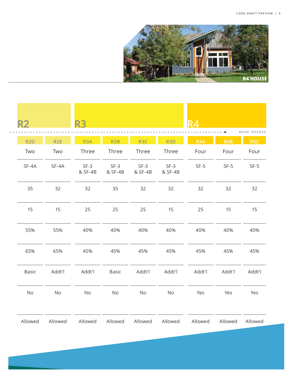

| <b>R2</b><br>$\cdots\cdots\cdots\cdots\cdots$ |                 | <b>R3</b>         |                   |                   |                   | R4<br>---------- <b>-</b> |            | MORE INTENSE |
|-----------------------------------------------|-----------------|-------------------|-------------------|-------------------|-------------------|---------------------------|------------|--------------|
| R <sub>2</sub> D                              | R <sub>2E</sub> | R <sub>3</sub> A  | R <sub>3</sub> B  | R <sub>3</sub> C  | R <sub>3</sub> D  | R <sub>4</sub> A          | <b>R4B</b> | R4C          |
| Two                                           | Two             | Three             | Three             | Three             | Three             | Four                      | Four       | Four         |
| SF-4A                                         | SF-4A           | $SF-3$<br>& SF-4B | $SF-3$<br>& SF-4B | $SF-3$<br>& SF-4B | $SF-3$<br>& SF-4B | $SF-5$                    | $SF-5$     | $SF-5$       |
| 35                                            | 32              | 32                | 35                | 32                | 32                | 32                        | 32         | 32           |
| 15                                            | 15              | 25                | 25                | 25                | 15                | 25                        | 15         | 15           |
| 55%                                           | 55%             | 40%               | 40%               | 40%               | 40%               | 40%                       | 40%        | 40%          |
| 65%                                           | 65%             | 45%               | 45%               | 45%               | 45%               | 45%                       | 45%        | 45%          |
| Basic                                         | Addt'l          | Addt'l            | Basic             | Addt'l            | Addt'l            | Addt'l                    | Addt'l     | Addt'l       |
| No                                            | No              | No                | No                | No                | No                | Yes                       | Yes        | Yes          |
| Allowed                                       | Allowed         | Allowed           | Allowed           | Allowed           | Allowed           | Allowed                   | Allowed    | Allowed      |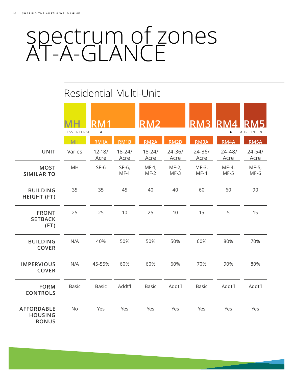# Residential Multi-Unit

|                                                     | LESS INTENSE | D M 1              |                    | <b>RMC</b>         |                    | RN                 | <b>RM</b>          | MORE INTENSE       |
|-----------------------------------------------------|--------------|--------------------|--------------------|--------------------|--------------------|--------------------|--------------------|--------------------|
|                                                     | <b>MH</b>    | RM1A               | RM1B               | RM <sub>2</sub> A  | RM2B               | RM3A               | RM4A               | RM5A               |
| <b>UNIT</b>                                         | Varies       | $12 - 18/$<br>Acre | $18 - 24/$<br>Acre | $18 - 24/$<br>Acre | $24 - 36/$<br>Acre | $24 - 36/$<br>Acre | $24 - 48/$<br>Acre | $24 - 54/$<br>Acre |
| <b>MOST</b><br><b>SIMILAR TO</b>                    | MH           | $SF-6$             | $SF-6$ ,<br>$MF-1$ | $MF-1$ ,<br>$MF-2$ | $MF-2$ ,<br>$MF-3$ | MF-3,<br>$MF-4$    | $MF-4,$<br>$MF-5$  | MF-5,<br>$MF-6$    |
| <b>BUILDING</b><br><b>HEIGHT (FT)</b>               | 35           | 35                 | 45                 | 40                 | 40                 | 60                 | 60                 | 90                 |
| <b>FRONT</b><br><b>SETBACK</b><br>(FT)              | 25           | 25                 | 10                 | 25                 | 10                 | 15                 | 5                  | 15                 |
| <b>BUILDING</b><br><b>COVER</b>                     | N/A          | 40%                | 50%                | 50%                | 50%                | 60%                | 80%                | 70%                |
| <b>IMPERVIOUS</b><br><b>COVER</b>                   | N/A          | 45-55%             | 60%                | 60%                | 60%                | 70%                | 90%                | 80%                |
| <b>FORM</b><br><b>CONTROLS</b>                      | <b>Basic</b> | <b>Basic</b>       | Addt'l             | <b>Basic</b>       | Addt'l             | <b>Basic</b>       | Addt'l             | Addt'l             |
| <b>AFFORDABLE</b><br><b>HOUSING</b><br><b>BONUS</b> | <b>No</b>    | Yes                | Yes                | Yes                | Yes                | Yes                | Yes                | Yes                |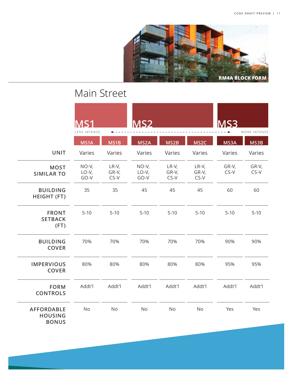

# Main Street

|                                                     | IS1<br>LESS INTENSE        |                          | <b>MS2</b>               |                            |                          | <b>MS3</b>    | MORE INTENSE    |
|-----------------------------------------------------|----------------------------|--------------------------|--------------------------|----------------------------|--------------------------|---------------|-----------------|
|                                                     | MS1A                       | MS1B                     | MS <sub>2</sub> A        | MS2B                       | MS <sub>2C</sub>         | MS3A          | MS3B            |
| <b>UNIT</b>                                         | Varies                     | Varies                   | Varies                   | Varies                     | Varies                   | Varies        | Varies          |
| <b>MOST</b><br><b>SIMILAR TO</b>                    | $NO-V,$<br>$LO-V,$<br>GO-V | $LR-V,$<br>GR-V,<br>CS-V | NO-V,<br>$LO-V,$<br>GO-V | $LR-V,$<br>GR-V,<br>$CS-V$ | $LR-V,$<br>GR-V,<br>CS-V | GR-V,<br>CS-V | GR-V,<br>$CS-V$ |
| <b>BUILDING</b><br><b>HEIGHT (FT)</b>               | 35                         | 35                       | 45                       | 45                         | 45                       | 60            | 60              |
| <b>FRONT</b><br><b>SETBACK</b><br>(FT)              | $5-10$                     | $5-10$                   | $5 - 10$                 | $5-10$                     | $5-10$                   | $5-10$        | $5 - 10$        |
| <b>BUILDING</b><br><b>COVER</b>                     | 70%                        | 70%                      | 70%                      | 70%                        | 70%                      | 90%           | 90%             |
| <b>IMPERVIOUS</b><br><b>COVER</b>                   | 80%                        | 80%                      | 80%                      | 80%                        | 80%                      | 95%           | 95%             |
| <b>FORM</b><br><b>CONTROLS</b>                      | Addt'l                     | Addt'l                   | Addt'l                   | Addt'l                     | Addt'l                   | Addt'l        | Addt'l          |
| <b>AFFORDABLE</b><br><b>HOUSING</b><br><b>BONUS</b> | <b>No</b>                  | No                       | No                       | No                         | No                       | Yes           | Yes             |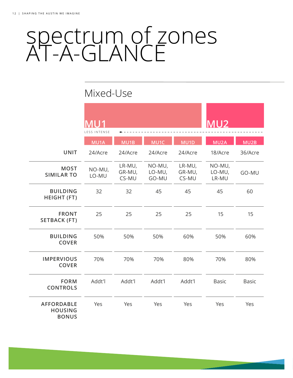# Mixed-Use

|                                                     | MU1<br>LESS INTENSE |                           |                           |                           | MU <sub>2</sub>           |         |
|-----------------------------------------------------|---------------------|---------------------------|---------------------------|---------------------------|---------------------------|---------|
|                                                     | MU1A                | MU1B                      | MU1C                      | MU1D                      | MU <sub>2</sub> A         | MU2B    |
| <b>UNIT</b>                                         | 24/Acre             | 24/Acre                   | 24/Acre                   | 24/Acre                   | 18/Acre                   | 36/Acre |
| <b>MOST</b><br><b>SIMILAR TO</b>                    | NO-MU,<br>LO-MU     | LR-MU,<br>GR-MU,<br>CS-MU | NO-MU,<br>LO-MU,<br>GO-MU | LR-MU,<br>GR-MU,<br>CS-MU | NO-MU,<br>LO-MU,<br>LR-MU | GO-MU   |
| <b>BUILDING</b><br>HEIGHT (FT)                      | 32                  | 32                        | 45                        | 45                        | 45                        | 60      |
| <b>FRONT</b><br><b>SETBACK (FT)</b>                 | 25                  | 25                        | 25                        | 25                        | 15                        | 15      |
| <b>BUILDING</b><br><b>COVER</b>                     | 50%                 | 50%                       | 50%                       | 60%                       | 50%                       | 60%     |
| <b>IMPERVIOUS</b><br><b>COVER</b>                   | 70%                 | 70%                       | 70%                       | 80%                       | 70%                       | 80%     |
| <b>FORM</b><br><b>CONTROLS</b>                      | Addt'l              | Addt'l                    | Addt'l                    | Addt'l                    | Basic                     | Basic   |
| <b>AFFORDABLE</b><br><b>HOUSING</b><br><b>BONUS</b> | Yes                 | Yes                       | Yes                       | Yes                       | Yes                       | Yes     |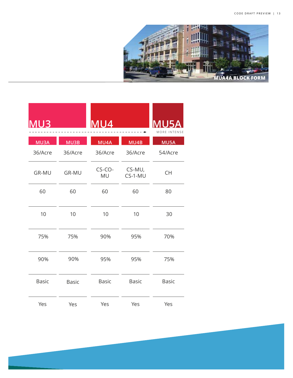

| MU5A<br>MORE INTENSE                     | ÷                   | MU4             |         | MU3     |
|------------------------------------------|---------------------|-----------------|---------|---------|
| MU5A                                     | MU4B                | MU4A            | MU3B    | MU3A    |
| 54/Acre                                  | 36/Acre             | 36/Acre         | 36/Acre | 36/Acre |
| $\mathsf{CH}% \left( \mathcal{M}\right)$ | CS-MU,<br>$CS-1-MU$ | $CS$ -CO-<br>MU | GR-MU   | GR-MU   |
| 80                                       | 60                  | 60              | 60      | 60      |
| $30\,$                                   | $10$                | $10$            | $10$    | $10$    |
| 70%                                      | 95%                 | 90%             | 75%     | 75%     |
| 75%                                      | 95%                 | 95%             | 90%     | 90%     |
| Basic                                    | Basic               | Basic           | Basic   | Basic   |
| Yes                                      | Yes                 | Yes             | Yes     | Yes     |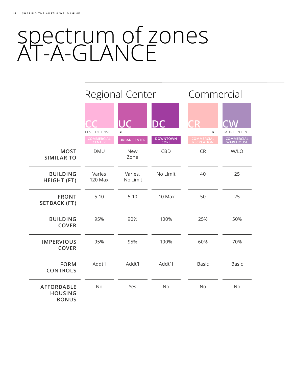|                                                     |                     | <b>Regional Center</b> |                  | Commercial     |                                 |  |
|-----------------------------------------------------|---------------------|------------------------|------------------|----------------|---------------------------------|--|
|                                                     | <b>LESS INTENSE</b> | $\mathsf{I}\mathsf{C}$ |                  | $\blacksquare$ | MORE INTENSE                    |  |
|                                                     | COMMERCIAL          | <b>URBAN CENTER</b>    | DOWNTOWN<br>CORE | COMMERCIAI     | <b>COMMERCIAL<br/>WAREHOUSE</b> |  |
| <b>MOST</b><br><b>SIMILAR TO</b>                    | <b>DMU</b>          | <b>New</b><br>Zone     | CBD              | <b>CR</b>      | W/LO                            |  |
| <b>BUILDING</b><br><b>HEIGHT (FT)</b>               | Varies<br>120 Max   | Varies,<br>No Limit    | No Limit         | 40             | 25                              |  |
| <b>FRONT</b><br><b>SETBACK (FT)</b>                 | $5 - 10$            | $5-10$                 | 10 Max           | 50             | 25                              |  |
| <b>BUILDING</b><br><b>COVER</b>                     | 95%                 | 90%                    | 100%             | 25%            | 50%                             |  |
| <b>IMPERVIOUS</b><br><b>COVER</b>                   | 95%                 | 95%                    | 100%             | 60%            | 70%                             |  |
| <b>FORM</b><br><b>CONTROLS</b>                      | Addt'l              | Addt'l                 | Addt' I          | <b>Basic</b>   | <b>Basic</b>                    |  |
| <b>AFFORDABLE</b><br><b>HOUSING</b><br><b>BONUS</b> | <b>No</b>           | Yes                    | <b>No</b>        | <b>No</b>      | <b>No</b>                       |  |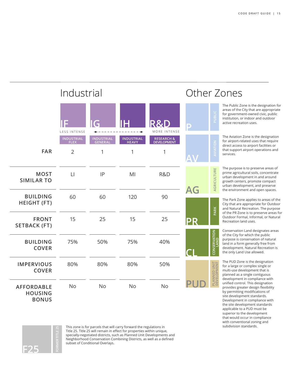applicable to a PUD must be superior to the development that would occur in compliance with conventional zoning and

|                                                     | Industrial                       |                                     |                                   |                           | Other Zones |                                                                                                                                                                                                                                                 |  |  |  |
|-----------------------------------------------------|----------------------------------|-------------------------------------|-----------------------------------|---------------------------|-------------|-------------------------------------------------------------------------------------------------------------------------------------------------------------------------------------------------------------------------------------------------|--|--|--|
|                                                     | E<br>LESS INTENSE                |                                     |                                   | MORE INTENSE              | D           | The Public Zone is the designation for<br>areas of the City that are appropriate<br>PUBLIC<br>for government-owned civic, public<br>institution, or indoor and outdoor<br>active recreation uses.                                               |  |  |  |
|                                                     | <b>INDUSTRIAL</b><br><b>FLEX</b> | <b>INDUSTRIAL</b><br><b>GENERAL</b> | <b>INDUSTRIAL</b><br><b>HEAVY</b> | RESEARCH &<br>DEVELOPMENT |             | The Aviation Zone is the designation<br>for airport-related uses that require<br>direct access to airport facilities or                                                                                                                         |  |  |  |
| <b>FAR</b>                                          | $\overline{2}$                   | 1                                   | 1                                 | 1                         |             | <b>IIATION</b><br>that support airport operations and<br>services.                                                                                                                                                                              |  |  |  |
| <b>MOST</b><br><b>SIMILAR TO</b>                    | $\lfloor \cdot \rfloor$          | IP                                  | MI                                | R&D                       | AG          | The purpose is to preserve areas of<br>AGRICULTURE<br>prime agricultural soils, concentrate<br>urban development in and around<br>growth centers, promote compact<br>urban development, and preserve<br>the environment and open spaces.        |  |  |  |
| <b>BUILDING</b><br><b>HEIGHT (FT)</b>               | 60                               | 60                                  | 120                               | 90                        |             | The Park Zone applies to areas of the<br>City that are appropriate for Outdoor<br>PARK<br>and Natural Recreation. The purpose                                                                                                                   |  |  |  |
| <b>FRONT</b><br><b>SETBACK (FT)</b>                 | 15                               | 25                                  | 15                                | 25                        | D<br>P      | of the PR Zone is to preserve areas for<br>Outdoor Formal, Informal, or Natural<br>Recreation land uses.                                                                                                                                        |  |  |  |
| <b>BUILDING</b><br><b>COVER</b>                     | 75%                              | 50%                                 | 75%                               | 40%                       |             | Conservation Land designates areas<br>CONSERVATION<br>LAND<br>of the City for which the public<br>purpose is conservation of natural<br>land in a form generally free from<br>development. Natural Recreation is<br>the only Land Use allowed.  |  |  |  |
| <b>IMPERVIOUS</b><br><b>COVER</b>                   | 80%                              | 80%                                 | 80%                               | 50%                       |             | The PUD Zone is the designation<br>PLANNED UNIT<br>DEVELOPMENT<br>for a large or complex single or<br>multi-use development that is<br>planned as a single contiguous                                                                           |  |  |  |
| <b>AFFORDABLE</b><br><b>HOUSING</b><br><b>BONUS</b> | <b>No</b>                        | <b>No</b>                           | <b>No</b>                         | <b>No</b>                 |             | development in compliance with<br>unified control. This designation<br>provides greater design flexibility<br>by permitting modifications of<br>site development standards.<br>Development in compliance with<br>the site development standards |  |  |  |

**F25 FORMER TITLE 25**

This zone is for parcels that will carry forward the regulations in subdivision standards. Title 25. Title 25 will remain in effect for properties within unique, specially-negotiated districts, such as Planned Unit Developments and Neighborhood Conservation Combining Districts, as well as a defined subset of Conditional Overlays.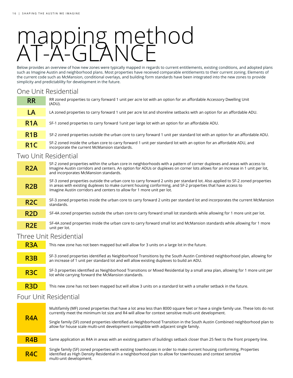# mapping method AT-A-GLANCE

Below provides an overview of how new zones were typically mapped in regards to current entitlements, existing conditions, and adopted plans such as Imagine Austin and neighborhood plans. Most properties have received comparable entitlements to their current zoning. Elements of the current code such as McMansion, conditional overlays, and building form standards have been integrated into the new zones to provide simplicity and predictablilty for development in the future.

# One Unit Residential

| <b>RR</b>        | RR zoned properties to carry forward 1 unit per acre lot with an option for an affordable Accessory Dwelling Unit<br>(ADU).                                         |
|------------------|---------------------------------------------------------------------------------------------------------------------------------------------------------------------|
| LA               | LA zoned properties to carry forward 1 unit per acre lot and shoreline setbacks with an option for an affordable ADU.                                               |
| R <sub>1</sub> A | SF-1 zoned properties to carry forward 1 unit per large lot with an option for an affordable ADU.                                                                   |
| R <sub>1</sub> B | SF-2 zoned properties outside the urban core to carry forward 1 unit per standard lot with an option for an affordable ADU.                                         |
| R <sub>1</sub> C | SF-2 zoned inside the urban core to carry forward 1 unit per standard lot with an option for an affordable ADU, and<br>incorporate the current McMansion standards. |

### Two Unit Residential

| R <sub>2</sub> A | SF-2 zoned properties within the urban core in neighborhoods with a pattern of corner duplexes and areas with access to<br>Imagine Austin corridors and centers. An option for ADUs or duplexes on corner lots allows for an increase in 1 unit per lot,<br>and incorporates McMansion standards.                      |
|------------------|------------------------------------------------------------------------------------------------------------------------------------------------------------------------------------------------------------------------------------------------------------------------------------------------------------------------|
| R2B              | SF-3 zoned properties outside the urban core to carry forward 2 units per standard lot. Also applied to SF-2 zoned properties<br>in areas with existing duplexes to make current housing conforming, and SF-2 properties that have access to<br>Imagine Austin corridors and centers to allow for 1 more unit per lot. |
| R <sub>2</sub> C | SF-3 zoned properties inside the urban core to carry forward 2 units per standard lot and incorporates the current McMansion<br>standards.                                                                                                                                                                             |
| R <sub>2</sub> D | SF-4A zoned properties outside the urban core to carry forward small lot standards while allowing for 1 more unit per lot.                                                                                                                                                                                             |

**R2E** SF-4A zoned properties inside the urban core to carry forward small lot and McMansion standards while allowing for 1 more unit per lot.

### Three Unit Residential



# Four Unit Residential

| R <sub>4</sub> A | Multifamily (MF) zoned properties that have a lot area less than 8000 square feet or have a single family use. These lots do not<br>currently meet the minimum lot size and R4 will allow for context sensitive multi-unit development.<br>Single family (SF) zoned properties identified as Neighborhood Transition in the South Austin Combined neighborhood plan to<br>allow for house scale multi-unit development compatible with adjacent single family. |
|------------------|----------------------------------------------------------------------------------------------------------------------------------------------------------------------------------------------------------------------------------------------------------------------------------------------------------------------------------------------------------------------------------------------------------------------------------------------------------------|
| R <sub>4</sub> B | Same application as R4A in areas with an existing pattern of buildings setback closer than 25 feet to the front property line.                                                                                                                                                                                                                                                                                                                                 |
| R <sub>4C</sub>  | Single family (SF) zoned properties with existing townhouses in order to make current housing conforming. Properties<br>identified as High Density Residential in a neighborhood plan to allow for townhouses and context sensitive<br>multi-unit development.                                                                                                                                                                                                 |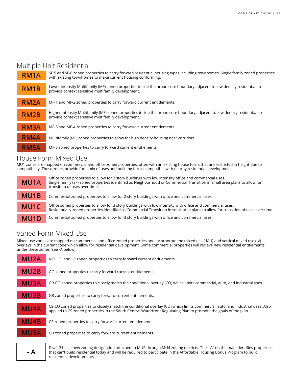## Multiple Unit Residential

| RM <sub>1</sub> A | SF 5 and SF-6 zoned properties to carry forward residential housing types including townhomes. Single family zoned properties<br>with existing townhomes to make current housing conforming. |
|-------------------|----------------------------------------------------------------------------------------------------------------------------------------------------------------------------------------------|
| RM <sub>1</sub> B | Lower intensity Multifamily (MF) zoned properties inside the urban core boundary adjacent to low density residential to<br>provide context sensitive multifamily development.                |
| RM <sub>2</sub> A | MF-1 and MF-2 zoned properties to carry forward current entitlements.                                                                                                                        |
| RM <sub>2</sub> B | Higher intensity Multifamily (MF) zoned properties inside the urban core boundary adjacent to low density residential to<br>provide context sensitive multifamily development.               |
| <b>RM3A</b>       | MF-3 and MF-4 zoned properties to carry forward current entitlements.                                                                                                                        |
| RM4A              | Multifamily (MF) zoned properties to allow for high density housing near corridors.                                                                                                          |
| RM <sub>5</sub> A | MF-6 zoned properties to carry forward current entitlements.                                                                                                                                 |

### House Form Mixed Use

MU1 zones are mapped on commercial and office zoned properties, often with an existing house form, that are restricted in height due to compatibility. These zones provide for a mix of uses and building forms compatible with nearby residential development.



Office zoned properties to allow for 2 story buildings with low intensity office and commercial uses. Single family (SF) zoned properties identified as Neighborhood or Commercial Transition in small area plans to allow for transition of uses over time.

Commercial zoned properties to allow for 2 story buildings with office and commercial uses.

Office zoned properties to allow for 3 story buildings with low intensity with office and commercial uses. Residentially zoned properties identified as Commercial Transition in small area plans to allow for transition of uses over time.

Commercial zoned properties to allow for 3 story buildings with office and commercial uses.

# Varied Form Mixed Use

Mixed use zones are mapped on commercial and office zoned properties and incorporate the mixed use (-MU) and vertical mixed use (-V) overlays in the current code which allow for residential development. Some commercial properties will recieve new residential entitlements under these zones (see -A below).

| MU <sub>2</sub> A | NO, LO, and LR zoned properties to carry forward current entitlements.                                                                                                                                                                            |
|-------------------|---------------------------------------------------------------------------------------------------------------------------------------------------------------------------------------------------------------------------------------------------|
| MU <sub>2</sub> B | GO zoned properties to carry forward current entitlements.                                                                                                                                                                                        |
| <b>MU3A</b>       | GR-CO zoned properties to closely match the conditional overlay (CO) which limits commercial, auto, and industrial uses.                                                                                                                          |
| <b>MU3B</b>       | GR zoned properties to carry forward current entitlements.                                                                                                                                                                                        |
| <b>MU4A</b>       | CS-CO zoned properties to closely match the conditional overlay (CO) which limits commercial, auto, and industrial uses. Also<br>applied to CS zoned properties in the South Central Waterfront Regulating Plan to promote the goals of the plan. |
| <b>MU4B</b>       | CS zoned properties to carry forward current entitlements.                                                                                                                                                                                        |
| MU5A              | CH zoned properties to carry forward current entitlements.                                                                                                                                                                                        |
|                   |                                                                                                                                                                                                                                                   |

**A** Praft 3 has a new zoning designation attached to MU2 through MU4 zoning districts. The "-A" on the map identifies properties https://www.php? that can't build residential today and will be required to participate in t residential developments.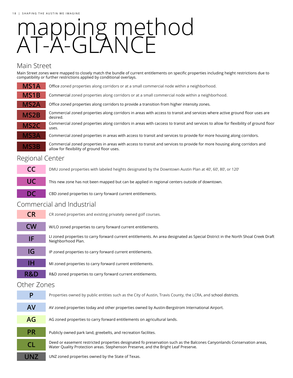# mapping method AT-A-GLANCE

## Main Street

Main Street zones were mapped to closely match the bundle of current entitlements on specific properties including height restrictions due to compatibility or further restrictions applied by conditional overlays.

| MS <sub>1</sub> A | Office zoned properties along corridors or at a small commercial node within a neighborhood.                                                                            |
|-------------------|-------------------------------------------------------------------------------------------------------------------------------------------------------------------------|
| MS1B              | Commercial zoned properties along corridors or at a small commercial node within a neighborhood.                                                                        |
| <b>MS2A</b>       | Office zoned properties along corridors to provide a transition from higher intensity zones.                                                                            |
| MS <sub>2</sub> B | Commercial zoned properties along corridors in areas with access to transit and services where active ground floor uses are<br>desired.                                 |
| MS <sub>2</sub> C | Commercial zoned properties along corridors in areas with caccess to transit and services to allow for flexibility of ground floor<br>uses.                             |
| <b>MS3A</b>       | Commercial zoned properties in areas with access to transit and services to provide for more housing along corridors.                                                   |
| <b>MS3B</b>       | Commercial zoned properties in areas with access to transit and services to provide for more housing along corridors and<br>allow for flexibility of ground floor uses. |

## Regional Center

| <b>CC</b> | DMU zoned properties with labeled heights designated by the Downtown Austin Plan at 40', 60', 80', or 120' |
|-----------|------------------------------------------------------------------------------------------------------------|
| UC        | This new zone has not been mapped but can be applied in regional centers outside of downtown.              |
| DC        | CBD zoned properties to carry forward current entitlements.                                                |

## Commercial and Industrial

| <b>CR</b>   | CR zoned properties and existing privately owned golf courses.                                                                                         |
|-------------|--------------------------------------------------------------------------------------------------------------------------------------------------------|
| <b>CW</b>   | W/LO zoned properties to carry forward current entitlements.                                                                                           |
| IF/         | LI zoned properties to carry forward current entitlements. An area designated as Special District in the North Shoal Creek Draft<br>Neighborhood Plan. |
| IG          | IP zoned properties to carry forward current entitlements.                                                                                             |
| IΗ          | MI zoned properties to carry forward current entitlements.                                                                                             |
| R&D         | R&D zoned properties to carry forward current entitlements.                                                                                            |
| Other Zones |                                                                                                                                                        |

| P         | Properties owned by public entities such as the City of Austin, Travis County, the LCRA, and school districts.                                                                                               |
|-----------|--------------------------------------------------------------------------------------------------------------------------------------------------------------------------------------------------------------|
| <b>AV</b> | AV zoned properties today and other properties owned by Austin-Bergstrom International Airport.                                                                                                              |
| AG        | AG zoned properties to carry forward entitlements on agricultural lands.                                                                                                                                     |
| <b>PR</b> | Publicly owned park land, greebelts, and recreation facilites.                                                                                                                                               |
| CL        | Deed or easement restricted properties designated fo preservation such as the Balcones Canyonlands Conservation areas,<br>Water Quality Protection areas. Stephenson Preserve, and the Bright Leaf Preserve. |
| JN7       | UNZ zoned properties owned by the State of Texas.                                                                                                                                                            |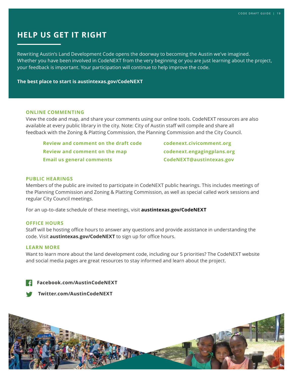# **HELP US GET IT RIGHT**

Rewriting Austin's Land Development Code opens the doorway to becoming the Austin we've imagined. Whether you have been involved in CodeNEXT from the very beginning or you are just learning about the project, your feedback is important. Your participation will continue to help improve the code.

**The best place to start is austintexas.gov/CodeNEXT**

#### **ONLINE COMMENTING**

View the code and map, and share your comments using our online tools. CodeNEXT resources are also available at every public library in the city. Note: City of Austin staff will compile and share all feedback with the Zoning & Platting Commission, the Planning Commission and the City Council.

 **Review and comment on the draft code codenext.civicomment.org Review and comment on the map codenext.engagingplans.org Email us general comments CodeNEXT@austintexas.gov**

#### **PUBLIC HEARINGS**

Members of the public are invited to participate in CodeNEXT public hearings. This includes meetings of the Planning Commission and Zoning & Platting Commission, as well as special called work sessions and regular City Council meetings.

For an up-to-date schedule of these meetings, visit **austintexas.gov/CodeNEXT**

#### **OFFICE HOURS**

Staff will be hosting office hours to answer any questions and provide assistance in understanding the code. Visit **austintexas.gov/CodeNEXT** to sign up for office hours.

#### **LEARN MORE**

Want to learn more about the land development code, including our 5 priorities? The CodeNEXT website and social media pages are great resources to stay informed and learn about the project.

**Facebook.com/AustinCodeNEXT** 

 **Twitter.com/AustinCodeNEXT**